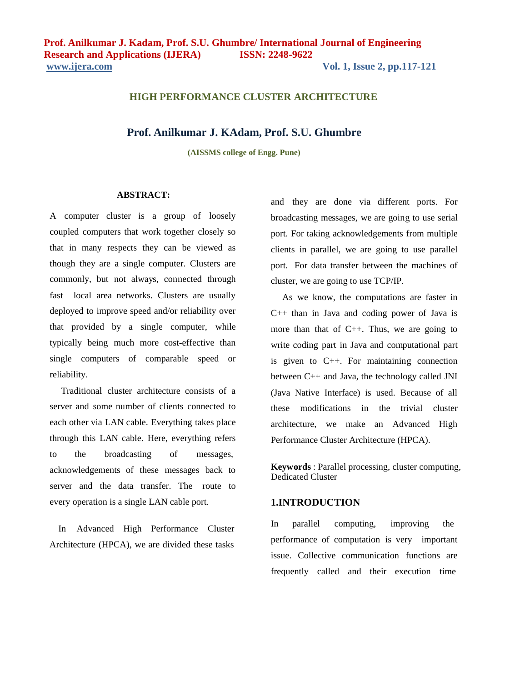## **HIGH PERFORMANCE CLUSTER ARCHITECTURE**

### **Prof. Anilkumar J. KAdam, Prof. S.U. Ghumbre**

**(AISSMS college of Engg. Pune)**

## **ABSTRACT:**

A computer cluster is a group of loosely coupled computers that work together closely so that in many respects they can be viewed as though they are a single computer. Clusters are commonly, but not always, connected through fast local area networks. Clusters are usually deployed to improve speed and/or reliability over that provided by a single computer, while typically being much more cost-effective than single computers of comparable speed or reliability.

Traditional cluster architecture consists of a server and some number of clients connected to each other via LAN cable. Everything takes place through this LAN cable. Here, everything refers to the broadcasting of messages, acknowledgements of these messages back to server and the data transfer. The route to every operation is a single LAN cable port.

In Advanced High Performance Cluster Architecture (HPCA), we are divided these tasks

and they are done via different ports. For broadcasting messages, we are going to use serial port. For taking acknowledgements from multiple clients in parallel, we are going to use parallel port. For data transfer between the machines of cluster, we are going to use TCP/IP.

As we know, the computations are faster in C++ than in Java and coding power of Java is more than that of  $C_{++}$ . Thus, we are going to write coding part in Java and computational part is given to C++. For maintaining connection between C++ and Java, the technology called JNI (Java Native Interface) is used. Because of all these modifications in the trivial cluster architecture, we make an Advanced High Performance Cluster Architecture (HPCA).

**Keywords** : Parallel processing, cluster computing, Dedicated Cluster

## **1.INTRODUCTION**

In parallel computing, improving the performance of computation is very important issue. Collective communication functions are frequently called and their execution time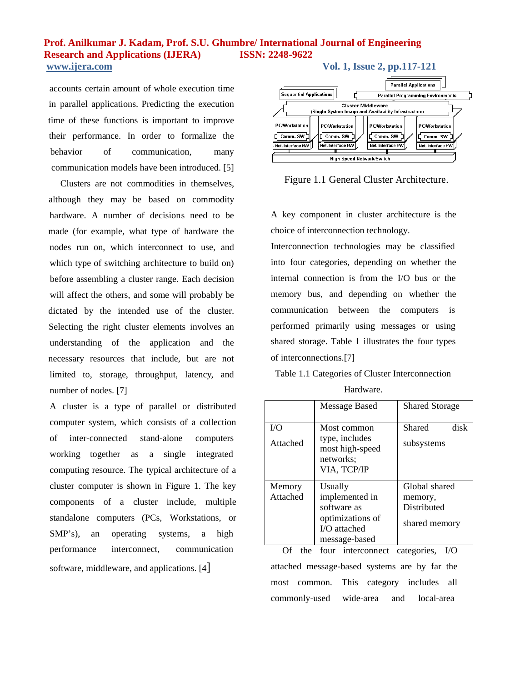accounts certain amount of whole execution time in parallel applications. Predicting the execution time of these functions is important to improve their performance. In order to formalize the behavior of communication, many communication models have been introduced. [5]

Clusters are not commodities in themselves, although they may be based on commodity hardware. A number of decisions need to be made (for example, what type of hardware the nodes run on, which interconnect to use, and which type of switching architecture to build on) before assembling a cluster range. Each decision will affect the others, and some will probably be dictated by the intended use of the cluster. Selecting the right cluster elements involves an understanding of the application and the necessary resources that include, but are not limited to, storage, throughput, latency, and number of nodes. [7]

A cluster is a type of parallel or distributed computer system, which consists of a collection of inter-connected stand-alone computers working together as a single integrated computing resource. The typical architecture of a cluster computer is shown in Figure 1. The key components of a cluster include, multiple standalone computers (PCs, Workstations, or SMP's), an operating systems, a high performance interconnect, communication software, middleware, and applications. [4]



Figure 1.1 General Cluster Architecture.

A key component in cluster architecture is the choice of interconnection technology.

Interconnection technologies may be classified into four categories, depending on whether the internal connection is from the I/O bus or the memory bus, and depending on whether the communication between the computers is performed primarily using messages or using shared storage. Table 1 illustrates the four types of interconnections.[7]

Table 1.1 Categories of Cluster Interconnection

| Hardware. |
|-----------|
|           |

|                    | Message Based                                                                                   | <b>Shared Storage</b>                                    |
|--------------------|-------------------------------------------------------------------------------------------------|----------------------------------------------------------|
| I/O<br>Attached    | Most common<br>type, includes<br>most high-speed<br>networks:<br>VIA, TCP/IP                    | disk<br>Shared<br>subsystems                             |
| Memory<br>Attached | Usually<br>implemented in<br>software as<br>optimizations of<br>$I/O$ attached<br>message-based | Global shared<br>memory,<br>Distributed<br>shared memory |

Of the four interconnect categories, I/O attached message-based systems are by far the most common. This category includes all commonly-used wide-area and local-area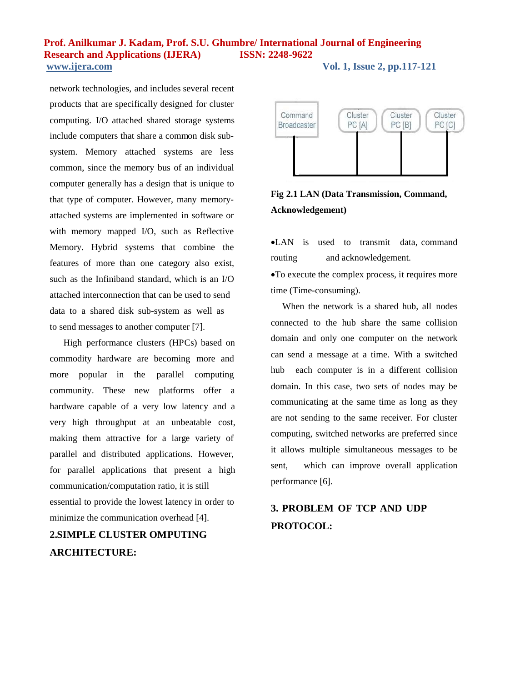network technologies, and includes several recent products that are specifically designed for cluster computing. I/O attached shared storage systems include computers that share a common disk subsystem. Memory attached systems are less common, since the memory bus of an individual computer generally has a design that is unique to that type of computer. However, many memoryattached systems are implemented in software or with memory mapped I/O, such as Reflective Memory. Hybrid systems that combine the features of more than one category also exist, such as the Infiniband standard, which is an I/O attached interconnection that can be used to send data to a shared disk sub-system as well as to send messages to another computer [7].

High performance clusters (HPCs) based on commodity hardware are becoming more and more popular in the parallel computing community. These new platforms offer a hardware capable of a very low latency and a very high throughput at an unbeatable cost, making them attractive for a large variety of parallel and distributed applications. However, for parallel applications that present a high communication/computation ratio, it is still essential to provide the lowest latency in order to minimize the communication overhead [4].

# **2.SIMPLE CLUSTER OMPUTING ARCHITECTURE:**



**Fig 2.1 LAN (Data Transmission, Command, Acknowledgement)**

LAN is used to transmit data, command routing and acknowledgement.

To execute the complex process, it requires more time (Time-consuming).

When the network is a shared hub, all nodes connected to the hub share the same collision domain and only one computer on the network can send a message at a time. With a switched hub each computer is in a different collision domain. In this case, two sets of nodes may be communicating at the same time as long as they are not sending to the same receiver. For cluster computing, switched networks are preferred since it allows multiple simultaneous messages to be sent, which can improve overall application performance [6].

# **3. PROBLEM OF TCP AND UDP PROTOCOL:**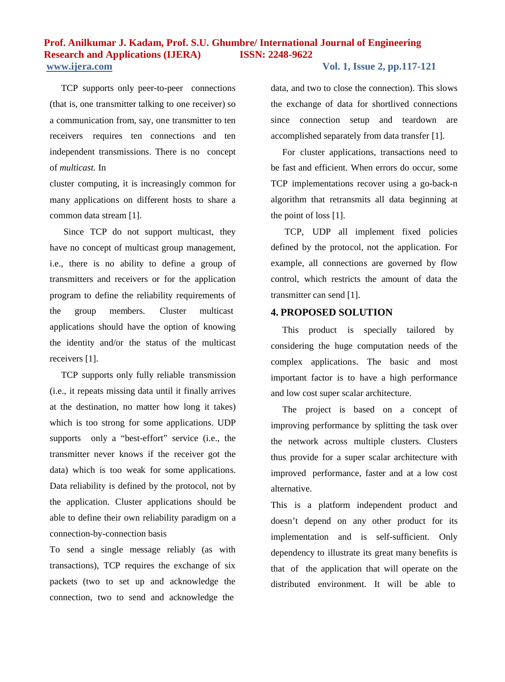TCP supports only peer-to-peer connections (that is, one transmitter talking to one receiver) so a communication from, say, one transmitter to ten receivers requires ten connections and ten independent transmissions. There is no concept of *multicast.* In

cluster computing, it is increasingly common for many applications on different hosts to share a common data stream [1].

Since TCP do not support multicast, they have no concept of multicast group management, i.e., there is no ability to define a group of transmitters and receivers or for the application program to define the reliability requirements of the group members. Cluster multicast applications should have the option of knowing the identity and/or the status of the multicast receivers [1].

TCP supports only fully reliable transmission (i.e., it repeats missing data until it finally arrives at the destination, no matter how long it takes) which is too strong for some applications. UDP supports only a "best-effort" service (i.e., the transmitter never knows if the receiver got the data) which is too weak for some applications. Data reliability is defined by the protocol, not by the application. Cluster applications should be able to define their own reliability paradigm on a connection-by-connection basis

To send a single message reliably (as with transactions), TCP requires the exchange of six packets (two to set up and acknowledge the connection, two to send and acknowledge the

data, and two to close the connection). This slows the exchange of data for shortlived connections since connection setup and teardown are accomplished separately from data transfer [1].

For cluster applications, transactions need to be fast and efficient. When errors do occur, some TCP implementations recover using a go-back-n algorithm that retransmits all data beginning at the point of loss [1].

TCP, UDP all implement fixed policies defined by the protocol, not the application. For example, all connections are governed by flow control, which restricts the amount of data the transmitter can send [1].

### **4. PROPOSED SOLUTION**

This product is specially tailored by considering the huge computation needs of the complex applications. The basic and most important factor is to have a high performance and low cost super scalar architecture.

The project is based on a concept of improving performance by splitting the task over the network across multiple clusters. Clusters thus provide for a super scalar architecture with improved performance, faster and at a low cost alternative.

This is a platform independent product and doesn't depend on any other product for its implementation and is self-sufficient. Only dependency to illustrate its great many benefits is that of the application that will operate on the distributed environment. It will be able to